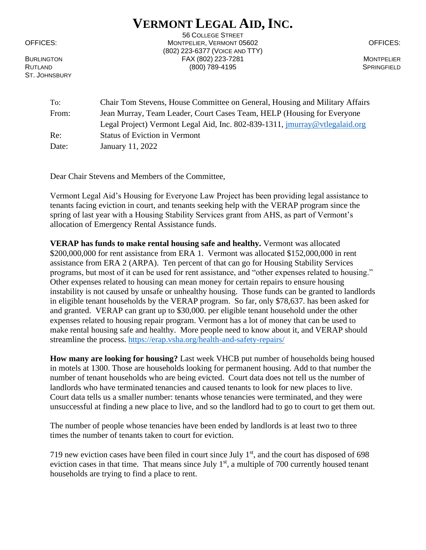## **VERMONT LEGAL AID, INC.**

ST. JOHNSBURY

56 COLLEGE STREET OFFICES: MONTPELIER, VERMONT 05602 OFFICES: (802) 223-6377 (VOICE AND TTY) BURLINGTON FAX (802) 223-7281 MONTPELIER RUTLAND SPRINGFIELD (800) 789-4195 SPRINGFIELD

To: Chair Tom Stevens, House Committee on General, Housing and Military Affairs From: Jean Murray, Team Leader, Court Cases Team, HELP (Housing for Everyone Legal Project) Vermont Legal Aid, Inc. 802-839-1311, [jmurray@vtlegalaid.org](mailto:jmurray@vtlegalaid.org) Re: Status of Eviction in Vermont Date: January 11, 2022

Dear Chair Stevens and Members of the Committee,

Vermont Legal Aid's Housing for Everyone Law Project has been providing legal assistance to tenants facing eviction in court, and tenants seeking help with the VERAP program since the spring of last year with a Housing Stability Services grant from AHS, as part of Vermont's allocation of Emergency Rental Assistance funds.

**VERAP has funds to make rental housing safe and healthy.** Vermont was allocated \$200,000,000 for rent assistance from ERA 1. Vermont was allocated \$152,000,000 in rent assistance from ERA 2 (ARPA). Ten percent of that can go for Housing Stability Services programs, but most of it can be used for rent assistance, and "other expenses related to housing." Other expenses related to housing can mean money for certain repairs to ensure housing instability is not caused by unsafe or unhealthy housing. Those funds can be granted to landlords in eligible tenant households by the VERAP program. So far, only \$78,637. has been asked for and granted. VERAP can grant up to \$30,000. per eligible tenant household under the other expenses related to housing repair program. Vermont has a lot of money that can be used to make rental housing safe and healthy. More people need to know about it, and VERAP should streamline the process.<https://erap.vsha.org/health-and-safety-repairs/>

**How many are looking for housing?** Last week VHCB put number of households being housed in motels at 1300. Those are households looking for permanent housing. Add to that number the number of tenant households who are being evicted. Court data does not tell us the number of landlords who have terminated tenancies and caused tenants to look for new places to live. Court data tells us a smaller number: tenants whose tenancies were terminated, and they were unsuccessful at finding a new place to live, and so the landlord had to go to court to get them out.

The number of people whose tenancies have been ended by landlords is at least two to three times the number of tenants taken to court for eviction.

719 new eviction cases have been filed in court since July  $1<sup>st</sup>$ , and the court has disposed of 698 eviction cases in that time. That means since July  $1<sup>st</sup>$ , a multiple of 700 currently housed tenant households are trying to find a place to rent.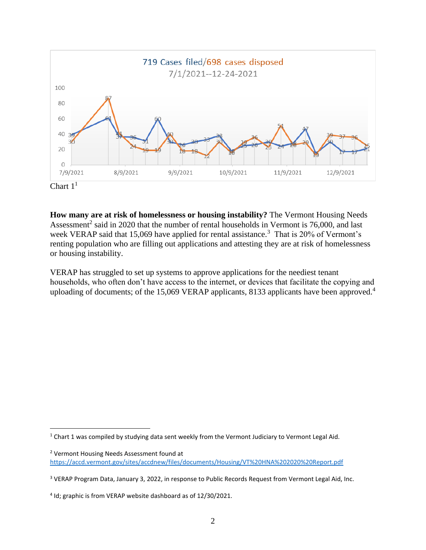



**How many are at risk of homelessness or housing instability?** The Vermont Housing Needs Assessment<sup>2</sup> said in 2020 that the number of rental households in Vermont is 76,000, and last week VERAP said that 15,069 have applied for rental assistance.<sup>3</sup> That is 20% of Vermont's renting population who are filling out applications and attesting they are at risk of homelessness or housing instability.

VERAP has struggled to set up systems to approve applications for the neediest tenant households, who often don't have access to the internet, or devices that facilitate the copying and uploading of documents; of the 15,069 VERAP applicants, 8133 applicants have been approved.<sup>4</sup>

 $1$  Chart 1 was compiled by studying data sent weekly from the Vermont Judiciary to Vermont Legal Aid.

<sup>2</sup> Vermont Housing Needs Assessment found at <https://accd.vermont.gov/sites/accdnew/files/documents/Housing/VT%20HNA%202020%20Report.pdf>

<sup>&</sup>lt;sup>3</sup> VERAP Program Data, January 3, 2022, in response to Public Records Request from Vermont Legal Aid, Inc.

<sup>4</sup> Id; graphic is from VERAP website dashboard as of 12/30/2021.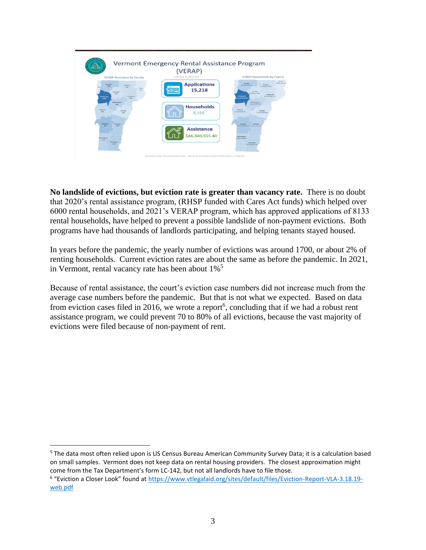

**No landslide of evictions, but eviction rate is greater than vacancy rate.** There is no doubt that 2020's rental assistance program, (RHSP funded with Cares Act funds) which helped over 6000 rental households, and 2021's VERAP program, which has approved applications of 8133 rental households, have helped to prevent a possible landslide of non-payment evictions. Both programs have had thousands of landlords participating, and helping tenants stayed housed.

In years before the pandemic, the yearly number of evictions was around 1700, or about 2% of renting households. Current eviction rates are about the same as before the pandemic. In 2021, in Vermont, rental vacancy rate has been about  $1\%$ <sup>5</sup>

Because of rental assistance, the court's eviction case numbers did not increase much from the average case numbers before the pandemic. But that is not what we expected. Based on data from eviction cases filed in 2016, we wrote a report<sup>6</sup>, concluding that if we had a robust rent assistance program, we could prevent 70 to 80% of all evictions, because the vast majority of evictions were filed because of non-payment of rent.

<sup>5</sup> The data most often relied upon is US Census Bureau American Community Survey Data; it is a calculation based on small samples. Vermont does not keep data on rental housing providers. The closest approximation might come from the Tax Department's form LC-142, but not all landlords have to file those.

<sup>6</sup> "Eviction a Closer Look" found at [https://www.vtlegalaid.org/sites/default/files/Eviction-Report-VLA-3.18.19](https://www.vtlegalaid.org/sites/default/files/Eviction-Report-VLA-3.18.19-web.pdf) [web.pdf](https://www.vtlegalaid.org/sites/default/files/Eviction-Report-VLA-3.18.19-web.pdf)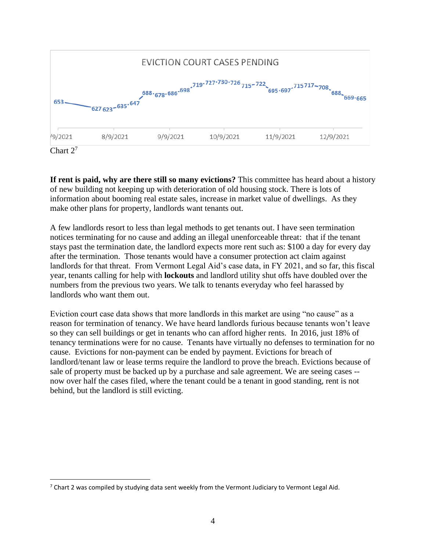

Chart 2<sup>7</sup>

**If rent is paid, why are there still so many evictions?** This committee has heard about a history of new building not keeping up with deterioration of old housing stock. There is lots of information about booming real estate sales, increase in market value of dwellings. As they make other plans for property, landlords want tenants out.

A few landlords resort to less than legal methods to get tenants out. I have seen termination notices terminating for no cause and adding an illegal unenforceable threat: that if the tenant stays past the termination date, the landlord expects more rent such as: \$100 a day for every day after the termination. Those tenants would have a consumer protection act claim against landlords for that threat. From Vermont Legal Aid's case data, in FY 2021, and so far, this fiscal year, tenants calling for help with **lockouts** and landlord utility shut offs have doubled over the numbers from the previous two years. We talk to tenants everyday who feel harassed by landlords who want them out.

Eviction court case data shows that more landlords in this market are using "no cause" as a reason for termination of tenancy. We have heard landlords furious because tenants won't leave so they can sell buildings or get in tenants who can afford higher rents. In 2016, just 18% of tenancy terminations were for no cause. Tenants have virtually no defenses to termination for no cause. Evictions for non-payment can be ended by payment. Evictions for breach of landlord/tenant law or lease terms require the landlord to prove the breach. Evictions because of sale of property must be backed up by a purchase and sale agreement. We are seeing cases - now over half the cases filed, where the tenant could be a tenant in good standing, rent is not behind, but the landlord is still evicting.

 $7$  Chart 2 was compiled by studying data sent weekly from the Vermont Judiciary to Vermont Legal Aid.